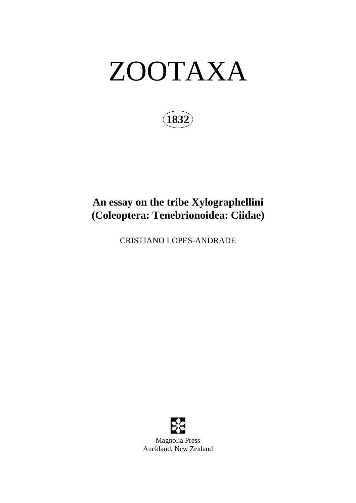# ZOOTAXA

**1832**

## **An essay on the tribe Xylographellini (Coleoptera: Tenebrionoidea: Ciidae)**

CRISTIANO LOPES-ANDRADE

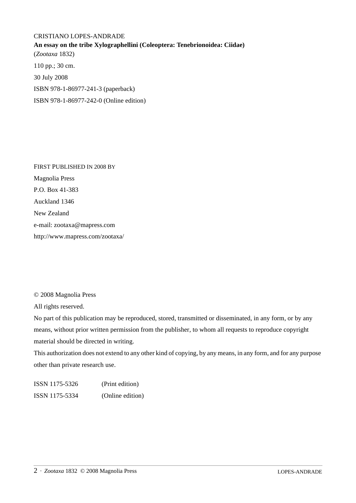### CRISTIANO LOPES-ANDRADE **An essay on the tribe Xylographellini (Coleoptera: Tenebrionoidea: Ciidae)** (*Zootaxa* 1832) 110 pp.; 30 cm. 30 July 2008 ISBN 978-1-86977-241-3 (paperback) ISBN 978-1-86977-242-0 (Online edition)

FIRST PUBLISHED IN 2008 BY Magnolia Press P.O. Box 41-383 Auckland 1346 New Zealand e-mail: zootaxa@mapress.com http://www.mapress.com/zootaxa/

© 2008 Magnolia Press

All rights reserved.

No part of this publication may be reproduced, stored, transmitted or disseminated, in any form, or by any means, without prior written permission from the publisher, to whom all requests to reproduce copyright material should be directed in writing.

This authorization does not extend to any other kind of copying, by any means, in any form, and for any purpose other than private research use.

ISSN 1175-5326 (Print edition) ISSN 1175-5334 (Online edition)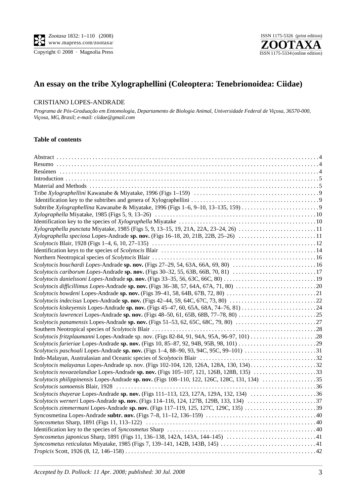



## **An essay on the tribe Xylographellini (Coleoptera: Tenebrionoidea: Ciidae)**

#### CRISTIANO LOPES-ANDRADE

*Programa de Pós-Graduação em Entomologia, Departamento de Biologia Animal, Universidade Federal de Viçosa, 36570-000, Viçosa, MG, Brasil; e-mail: ciidae@gmail.com*

#### **Table of contents**

| Xylographella punctata Miyatake, 1985 (Figs 5, 9, 13-15, 19, 21A, 22A, 23-24, 26) 11 |  |
|--------------------------------------------------------------------------------------|--|
| Xylographella speciosa Lopes-Andrade sp. nov. (Figs 16-18, 20, 21B, 22B, 25-26) 11   |  |
|                                                                                      |  |
|                                                                                      |  |
|                                                                                      |  |
| Scolytocis bouchardi Lopes-Andrade sp. nov. (Figs 27-29, 54, 63A, 66A, 69, 80) 16    |  |
| Scolytocis cariborum Lopes-Andrade sp. nov. (Figs 30–32, 55, 63B, 66B, 70, 81) 17    |  |
|                                                                                      |  |
|                                                                                      |  |
|                                                                                      |  |
|                                                                                      |  |
|                                                                                      |  |
|                                                                                      |  |
|                                                                                      |  |
|                                                                                      |  |
|                                                                                      |  |
|                                                                                      |  |
|                                                                                      |  |
|                                                                                      |  |
|                                                                                      |  |
|                                                                                      |  |
|                                                                                      |  |
|                                                                                      |  |
|                                                                                      |  |
|                                                                                      |  |
|                                                                                      |  |
|                                                                                      |  |
|                                                                                      |  |
|                                                                                      |  |
|                                                                                      |  |
|                                                                                      |  |
|                                                                                      |  |
|                                                                                      |  |